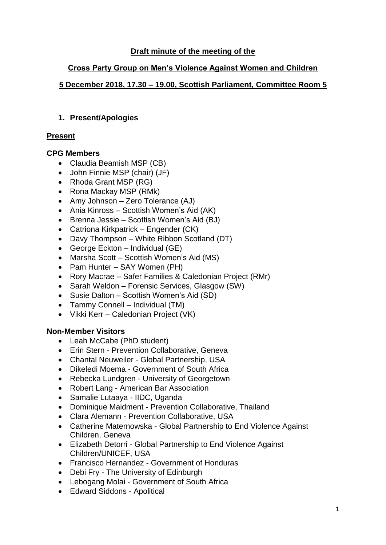# **Draft minute of the meeting of the**

## **Cross Party Group on Men's Violence Against Women and Children**

# **5 December 2018, 17.30 – 19.00, Scottish Parliament, Committee Room 5**

## **1. Present/Apologies**

# **Present**

# **CPG Members**

- Claudia Beamish MSP (CB)
- John Finnie MSP (chair) (JF)
- Rhoda Grant MSP (RG)
- Rona Mackay MSP (RMk)
- Amy Johnson Zero Tolerance (AJ)
- Ania Kinross Scottish Women's Aid (AK)
- Brenna Jessie Scottish Women's Aid (BJ)
- Catriona Kirkpatrick Engender (CK)
- Davy Thompson White Ribbon Scotland (DT)
- George Eckton Individual (GE)
- Marsha Scott Scottish Women's Aid (MS)
- Pam Hunter SAY Women (PH)
- Rory Macrae Safer Families & Caledonian Project (RMr)
- Sarah Weldon Forensic Services, Glasgow (SW)
- Susie Dalton Scottish Women's Aid (SD)
- Tammy Connell Individual (TM)
- Vikki Kerr Caledonian Project (VK)

### **Non-Member Visitors**

- Leah McCabe (PhD student)
- Erin Stern Prevention Collaborative, Geneva
- Chantal Neuweiler Global Partnership, USA
- Dikeledi Moema Government of South Africa
- Rebecka Lundgren University of Georgetown
- Robert Lang American Bar Association
- Samalie Lutaaya IIDC, Uganda
- Dominique Maidment Prevention Collaborative, Thailand
- Clara Alemann Prevention Collaborative, USA
- Catherine Maternowska Global Partnership to End Violence Against Children, Geneva
- Elizabeth Detorri Global Partnership to End Violence Against Children/UNICEF, USA
- Francisco Hernandez Government of Honduras
- Debi Fry The University of Edinburgh
- Lebogang Molai Government of South Africa
- Edward Siddons Apolitical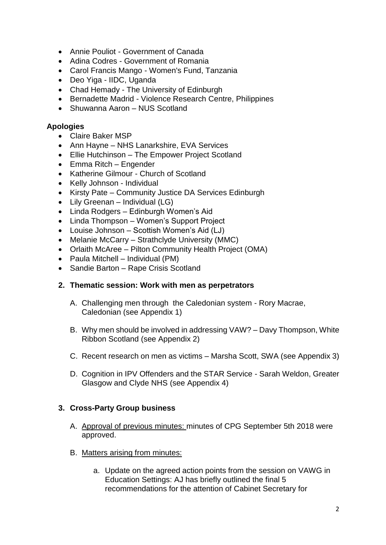- Annie Pouliot Government of Canada
- Adina Codres Government of Romania
- Carol Francis Mango Women's Fund, Tanzania
- Deo Yiga IIDC, Uganda
- Chad Hemady The University of Edinburgh
- Bernadette Madrid Violence Research Centre, Philippines
- Shuwanna Aaron NUS Scotland

### **Apologies**

- Claire Baker MSP
- Ann Hayne NHS Lanarkshire, EVA Services
- Ellie Hutchinson The Empower Project Scotland
- Emma Ritch Engender
- Katherine Gilmour Church of Scotland
- Kelly Johnson Individual
- Kirsty Pate Community Justice DA Services Edinburgh
- Lily Greenan Individual (LG)
- Linda Rodgers Edinburgh Women's Aid
- Linda Thompson Women's Support Project
- Louise Johnson Scottish Women's Aid (LJ)
- Melanie McCarry Strathclyde University (MMC)
- Orlaith McAree Pilton Community Health Project (OMA)
- Paula Mitchell Individual (PM)
- Sandie Barton Rape Crisis Scotland

### **2. Thematic session: Work with men as perpetrators**

- A. Challenging men through the Caledonian system Rory Macrae, Caledonian (see Appendix 1)
- B. Why men should be involved in addressing VAW? Davy Thompson, White Ribbon Scotland (see Appendix 2)
- C. Recent research on men as victims Marsha Scott, SWA (see Appendix 3)
- D. Cognition in IPV Offenders and the STAR Service Sarah Weldon, Greater Glasgow and Clyde NHS (see Appendix 4)

### **3. Cross-Party Group business**

- A. Approval of previous minutes: minutes of CPG September 5th 2018 were approved.
- B. Matters arising from minutes:
	- a. Update on the agreed action points from the session on VAWG in Education Settings: AJ has briefly outlined the final 5 recommendations for the attention of Cabinet Secretary for